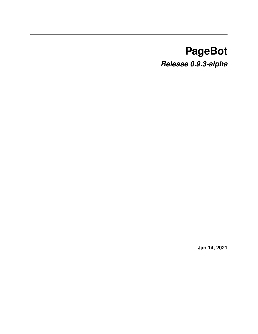# **PageBot** *Release 0.9.3-alpha*

**Jan 14, 2021**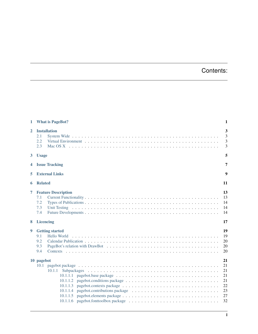## Contents:

| 1              | <b>What is PageBot?</b>                                                                  | 1                                                  |
|----------------|------------------------------------------------------------------------------------------|----------------------------------------------------|
| $\mathbf{2}$   | <b>Installation</b><br>2.1<br>2.2<br>2.3                                                 | 3<br>3<br>3<br>3                                   |
| $\mathbf{3}$   | <b>Usage</b>                                                                             | 5                                                  |
| 4              | <b>Issue Tracking</b>                                                                    | 7                                                  |
| 5              | <b>External Links</b>                                                                    | 9                                                  |
| 6              | <b>Related</b>                                                                           | 11                                                 |
| $\overline{7}$ | <b>Feature Description</b><br>7.1<br>7.2<br>7.3<br>7.4                                   | 13<br>13<br>14<br>14<br>14                         |
| 8              | <b>Licencing</b>                                                                         | 17                                                 |
| 9              | <b>Getting started</b><br>9.1<br>Hello World<br>9.2<br>9.3<br>9.4                        | 19<br>19<br>20<br>20<br>20                         |
|                | 10 pagebot<br>10.1<br>10.1.1<br>10.1.1.1<br>10.1.1.2<br>10.1.1.3<br>10.1.1.4<br>10.1.1.5 | 21<br>21<br>21<br>21<br>21<br>22<br>23<br>27<br>32 |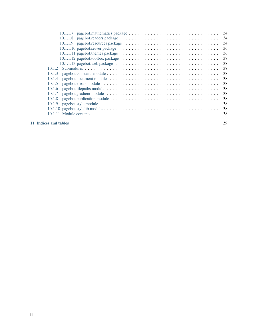| 10.1.1.7                                                                                                  | 34 |
|-----------------------------------------------------------------------------------------------------------|----|
|                                                                                                           | 34 |
|                                                                                                           | 34 |
|                                                                                                           | 36 |
|                                                                                                           | 36 |
|                                                                                                           | 37 |
| $10.1.1.13$ pagebot.web package $\dots \dots \dots \dots \dots \dots \dots \dots \dots \dots \dots \dots$ | 38 |
| 10.1.2                                                                                                    | 38 |
| 10.1.3                                                                                                    | 38 |
| 10.1.4                                                                                                    | 38 |
| 10.1.5                                                                                                    | 38 |
| 10.1.6                                                                                                    | 38 |
| 10.1.7                                                                                                    | 38 |
| 10.1.8                                                                                                    | 38 |
| 10.1.9                                                                                                    | 38 |
|                                                                                                           | 38 |
|                                                                                                           | 38 |
|                                                                                                           |    |

#### [11 Indices and tables](#page-42-0) 39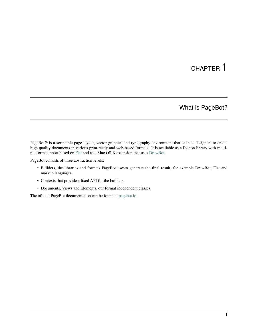## CHAPTER<sup>1</sup>

#### What is PageBot?

<span id="page-4-0"></span>PageBot® is a scriptable page layout, vector graphics and typography environment that enables designers to create high quality documents in various print-ready and web-based formats. It is available as a Python library with multiplatform support based on [Flat](http://xxyxyz.org/flat) and as a Mac OS X extension that uses [DrawBot.](http://www.drawbot.com)

PageBot consists of three abstraction levels:

- Builders, the libraries and formats PageBot usesto generate the final result, for example DrawBot, Flat and markup languages.
- Contexts that provide a fixed API for the builders.
- Documents, Views and Elements, our format independent classes.

The official PageBot documentation can be found at [pagebot.io.](http://pagebot.io)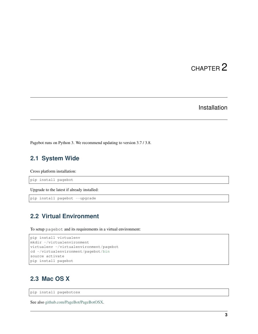#### Installation

<span id="page-6-0"></span>Pagebot runs on Python 3. We recommend updating to version 3.7 / 3.8.

#### <span id="page-6-1"></span>**2.1 System Wide**

Cross platform installation:

pip install pagebot

Upgrade to the latest if already installed:

pip install pagebot --upgrade

#### <span id="page-6-2"></span>**2.2 Virtual Environment**

To setup pagebot and its requirements in a virtual environment:

```
pip install virtualenv
mkdir ~/virtualenvironment
virtualenv ~/virtualenvironment/pagebot
cd ~/virtualenvironment/pagebot/bin
source activate
pip install pagebot
```
### <span id="page-6-3"></span>**2.3 Mac OS X**

pip install pagebotosx

See also [github.com/PageBot/PageBotOSX.](https://github.com/PageBot/PageBotOSX)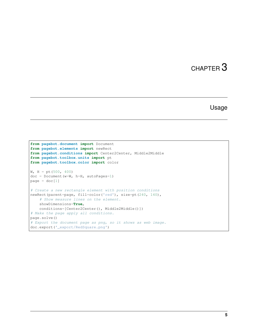#### Usage

```
from pagebot.document import Document
from pagebot.elements import newRect
from pagebot.conditions import Center2Center, Middle2Middle
from pagebot.toolbox.units import pt
from pagebot.toolbox.color import color
W, H = pt(500, 400)
doc = Document(w=W, h=H, autoPages=1)
page = doc[1]# Create a new rectangle element with position conditions
newRect(parent=page, fill=color('red'), size=pt(240, 140),
   # Show measure lines on the element.
   showDimensions=True,
   conditions=[Center2Center(), Middle2Middle()])
# Make the page apply all conditions.
page.solve()
# Export the document page as png, so it shows as web image.
doc.export('_export/RedSquare.png')
```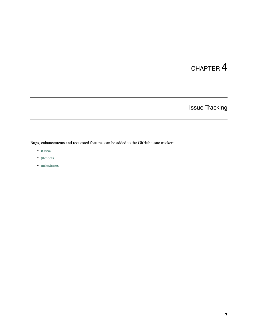Issue Tracking

<span id="page-10-0"></span>Bugs, enhancements and requested features can be added to the GitHub issue tracker:

- [issues](https://github.com/PageBot/PageBot/issues)
- [projects](https://github.com/PageBot/PageBot/projects)
- [milestones](https://github.com/PageBot/PageBot/milestones)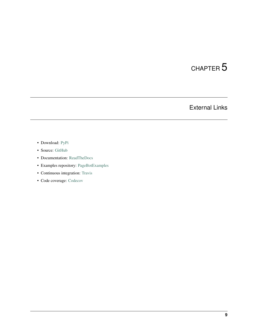## External Links

- <span id="page-12-0"></span>• Download: [PyPi](https://pypi.org/project/pagebot/)
- Source: [GitHub](https://github.com/PageBot/PageBot)
- Documentation: [ReadTheDocs](https://pagebot.readthedocs.io/en/latest/)
- Examples repository: [PageBotExamples](https://github.com/PageBot/PageBotExamples)
- Continuous integration: [Travis](https://travis-ci.org/PageBot/PageBot)
- Code coverage: [Codecov](https://codecov.io/gh/PageBot/PageBot)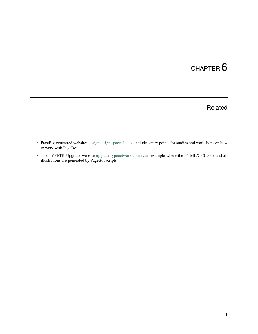## Related

- <span id="page-14-0"></span>• PageBot generated website: [designdesign.space.](http://designdesign.space) It also includes entry points for studies and workshops on how to work with PageBot.
- The TYPETR Upgrade website [upgrade.typenetwork.com](https://upgrade.typenetwork.com) is an example where the HTML/CSS code and all illustrations are generated by PageBot scripts.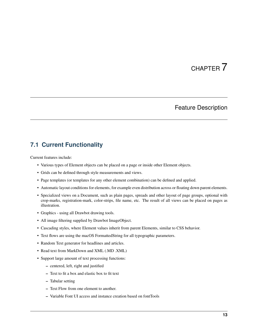#### Feature Description

#### <span id="page-16-1"></span><span id="page-16-0"></span>**7.1 Current Functionality**

Current features include:

- Various types of Element objects can be placed on a page or inside other Element objects.
- Grids can be defined through style measurements and views.
- Page templates (or templates for any other element combination) can be defined and applied.
- Automatic layout conditions for elements, for example even distribution across or floating down parent elements.
- Specialized views on a Document, such as plain pages, spreads and other layout of page groups, optional with crop-marks, registration-mark, color-strips, file name, etc. The result of all views can be placed on pages as illustration.
- Graphics using all Drawbot drawing tools.
- All image filtering supplied by Drawbot ImageObject.
- Cascading styles, where Element values inherit from parent Elements, similar to CSS behavior.
- Text flows are using the macOS FormattedString for all typographic parameters.
- Random Text generator for headlines and articles.
- Read text from MarkDown and XML (.MD .XML)
- Support large amount of text processing functions:
	- centered, left, right and justified
	- Text to fit a box and elastic box to fit text
	- Tabular setting
	- Text Flow from one element to another.
	- Variable Font UI access and instance creation based on fontTools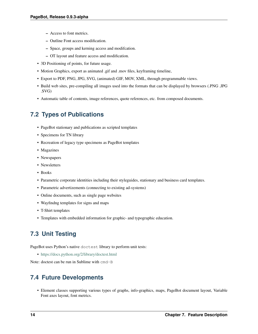- Access to font metrics.
- Outline Font access modification.
- Space, groups and kerning access and modifcation.
- OT layout and feature access and modification.
- 3D Positioning of points, for future usage.
- Motion Graphics, export as animated .gif and .mov files, keyframing timeline,
- Export to PDF, PNG, JPG, SVG, (animated) GIF, MOV, XML, through programmable views.
- Build web sites, pre-compiling all images used into the formats that can be displayed by browsers (.PNG .JPG .SVG)
- Automatic table of contents, image references, quote references, etc. from composed documents.

#### <span id="page-17-0"></span>**7.2 Types of Publications**

- PageBot stationary and publications as scripted templates
- Specimens for TN library
- Recreation of legacy type specimens as PageBot templates
- Magazines
- Newspapers
- Newsletters
- Books
- Parametric corporate identities including their styleguides, stationary and business card templates.
- Parametric advertizements (connecting to existing ad-systems)
- Online documents, such as single page websites
- Wayfindng templates for signs and maps
- T-Shirt templates
- Templates with embedded information for graphic- and typographic education.

#### <span id="page-17-1"></span>**7.3 Unit Testing**

PageBot uses Python's native doctest library to perform unit tests:

• <https://docs.python.org/2/library/doctest.html>

Note: doctest can be run in Sublime with cmd-B

#### <span id="page-17-2"></span>**7.4 Future Developments**

• Element classes supporting various types of graphs, info-graphics, maps, PageBot document layout, Variable Font axes layout, font metrics.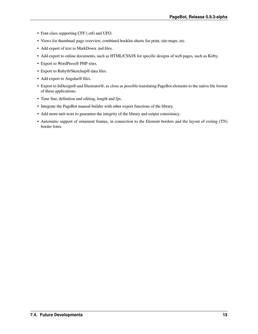- Font class supporting CFF (.otf) and UFO.
- Views for thumbnail page overview, combined booklet-sheets for print, site-maps, etc.
- Add export of text to MarkDown .md files.
- Add export to online documents, such as HTML/CSS/JS for specific designs of web pages, such as Kirby.
- Export to WordPress® PHP sites.
- Export to Ruby®/Sketchup® data files.
- Add export to Angular® files.
- Export to InDesign® and Illustrator®, as close as possible translating PageBot elements to the native file format of these applications.
- Time line, definition and editing, length and fps.
- Integrate the PageBot manual builder with other export functions of the library.
- Add more unit-tests to guarantee the integrity of the library and output consistency.
- Automatic support of ornament frames, in connection to the Element borders and the layout of exiting (TN) border fonts.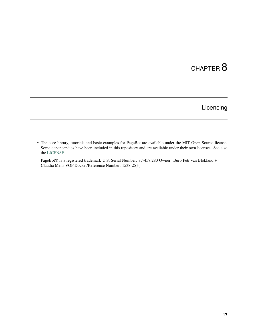## Licencing

<span id="page-20-0"></span>• The core library, tutorials and basic examples for PageBot are available under the MIT Open Source license. Some depencendies have been included in this repository and are available under their own licenses. See also the [LICENSE.](https://github.com/PageBot/PageBot/blob/master/LICENSE)

PageBot® is a registered trademark U.S. Serial Number: 87-457,280 Owner: Buro Petr van Blokland + Claudia Mens VOF Docket/Reference Number: 1538-25}{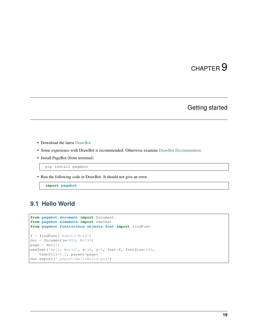#### Getting started

- <span id="page-22-0"></span>• Download the latest [DrawBot](http://www.drawbot.com/content/download.html)
- Some experience with DrawBot is recommended. Otherwise examine [DrawBot Documentation](https://drawbot.readthedocs.io)
- Install PageBot (from terminal)

pip install pagebot

• Run the following code in DrawBot. It should not give an error.

**import pagebot**

#### <span id="page-22-1"></span>**9.1 Hello World**

```
from pagebot.document import Document
from pagebot.elements import newText
from pagebot.fonttoolbox.objects.font import findFont
f = findFont('Roboto-Bold')
doc = Document(w=800, h=190)page = doc[1]newText('Hello World', x=30, y=0, font=f, fontSize=140,
   textFill=0.2, parent=page)
doc.export('_export/HelloWorld.png')
```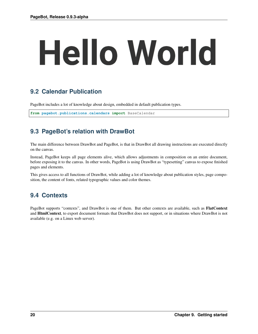# **Hello World**

## <span id="page-23-0"></span>**9.2 Calendar Publication**

PageBot includes a lot of knowledge about design, embedded in default publication types.

**from pagebot.publications.calendars import** BaseCalendar

## <span id="page-23-1"></span>**9.3 PageBot's relation with DrawBot**

The main difference between DrawBot and PageBot, is that in DrawBot all drawing instructions are executed directly on the canvas.

Instead, PageBot keeps all page elements alive, which allows adjustments in composition on an entire document, before exposing it to the canvas. In other words, PageBot is using DrawBot as "typesetting" canvas to expose finished pages and elements.

This gives access to all functions of DrawBot, while adding a lot of knowledge about publication styles, page composition, the content of fonts, related typographic values and color themes.

## <span id="page-23-2"></span>**9.4 Contexts**

PageBot supports "contexts", and DrawBot is one of them. But other contexts are available, such as FlatContext and HtmlContext, to export document formats that DrawBot does not support, or in situations where DrawBot is not available (e.g. on a Linux web server).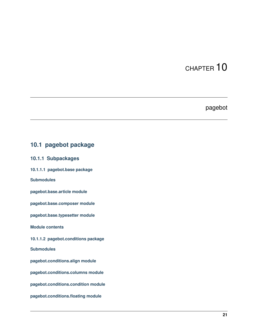#### pagebot

## <span id="page-24-1"></span><span id="page-24-0"></span>**10.1 pagebot package**

## <span id="page-24-2"></span>**10.1.1 Subpackages**

<span id="page-24-3"></span>**10.1.1.1 pagebot.base package**

**Submodules**

**pagebot.base.article module**

**pagebot.base.composer module**

**pagebot.base.typesetter module**

**Module contents**

<span id="page-24-4"></span>**10.1.1.2 pagebot.conditions package**

**Submodules**

**pagebot.conditions.align module**

**pagebot.conditions.columns module**

**pagebot.conditions.condition module**

**pagebot.conditions.floating module**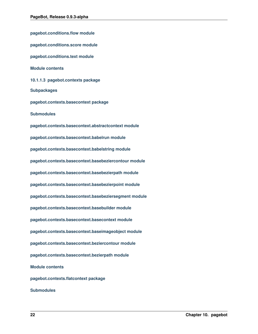<span id="page-25-0"></span>**pagebot.conditions.flow module pagebot.conditions.score module pagebot.conditions.text module Module contents 10.1.1.3 pagebot.contexts package Subpackages pagebot.contexts.basecontext package Submodules pagebot.contexts.basecontext.abstractcontext module pagebot.contexts.basecontext.babelrun module pagebot.contexts.basecontext.babelstring module pagebot.contexts.basecontext.basebeziercontour module pagebot.contexts.basecontext.basebezierpath module pagebot.contexts.basecontext.basebezierpoint module pagebot.contexts.basecontext.basebeziersegment module pagebot.contexts.basecontext.basebuilder module pagebot.contexts.basecontext.basecontext module pagebot.contexts.basecontext.baseimageobject module pagebot.contexts.basecontext.beziercontour module pagebot.contexts.basecontext.bezierpath module Module contents pagebot.contexts.flatcontext package Submodules**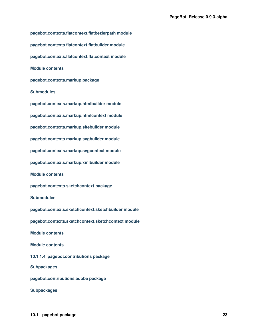<span id="page-26-0"></span>**pagebot.contexts.flatcontext.flatbezierpath module pagebot.contexts.flatcontext.flatbuilder module pagebot.contexts.flatcontext.flatcontext module Module contents pagebot.contexts.markup package Submodules pagebot.contexts.markup.htmlbuilder module pagebot.contexts.markup.htmlcontext module pagebot.contexts.markup.sitebuilder module pagebot.contexts.markup.svgbuilder module pagebot.contexts.markup.svgcontext module pagebot.contexts.markup.xmlbuilder module Module contents pagebot.contexts.sketchcontext package Submodules pagebot.contexts.sketchcontext.sketchbuilder module pagebot.contexts.sketchcontext.sketchcontext module Module contents Module contents 10.1.1.4 pagebot.contributions package Subpackages pagebot.contributions.adobe package Subpackages**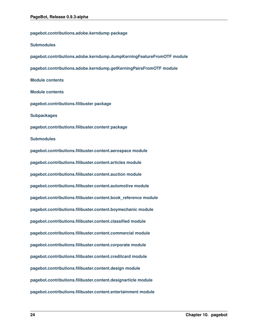**pagebot.contributions.adobe.kerndump package Submodules pagebot.contributions.adobe.kerndump.dumpKerningFeatureFromOTF module pagebot.contributions.adobe.kerndump.getKerningPairsFromOTF module Module contents Module contents pagebot.contributions.filibuster package Subpackages pagebot.contributions.filibuster.content package Submodules pagebot.contributions.filibuster.content.aerospace module pagebot.contributions.filibuster.content.articles module pagebot.contributions.filibuster.content.auction module pagebot.contributions.filibuster.content.automotive module pagebot.contributions.filibuster.content.book\_reference module pagebot.contributions.filibuster.content.boymechanic module pagebot.contributions.filibuster.content.classified module pagebot.contributions.filibuster.content.commercial module pagebot.contributions.filibuster.content.corporate module pagebot.contributions.filibuster.content.creditcard module pagebot.contributions.filibuster.content.design module pagebot.contributions.filibuster.content.designarticle module pagebot.contributions.filibuster.content.entertainment module**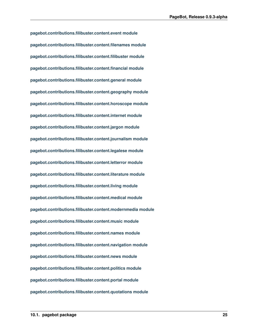**pagebot.contributions.filibuster.content.event module pagebot.contributions.filibuster.content.filenames module pagebot.contributions.filibuster.content.filibuster module pagebot.contributions.filibuster.content.financial module pagebot.contributions.filibuster.content.general module pagebot.contributions.filibuster.content.geography module pagebot.contributions.filibuster.content.horoscope module pagebot.contributions.filibuster.content.internet module pagebot.contributions.filibuster.content.jargon module pagebot.contributions.filibuster.content.journalism module pagebot.contributions.filibuster.content.legalese module pagebot.contributions.filibuster.content.letterror module pagebot.contributions.filibuster.content.literature module pagebot.contributions.filibuster.content.living module pagebot.contributions.filibuster.content.medical module pagebot.contributions.filibuster.content.modernmedia module pagebot.contributions.filibuster.content.music module pagebot.contributions.filibuster.content.names module pagebot.contributions.filibuster.content.navigation module pagebot.contributions.filibuster.content.news module pagebot.contributions.filibuster.content.politics module pagebot.contributions.filibuster.content.portal module pagebot.contributions.filibuster.content.quotations module**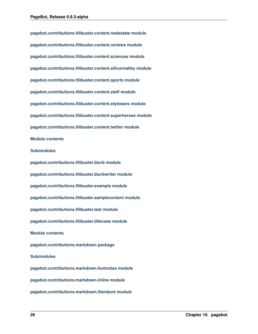**pagebot.contributions.filibuster.content.realestate module pagebot.contributions.filibuster.content.reviews module pagebot.contributions.filibuster.content.sciences module pagebot.contributions.filibuster.content.siliconvalley module pagebot.contributions.filibuster.content.sports module pagebot.contributions.filibuster.content.staff module pagebot.contributions.filibuster.content.stylewars module pagebot.contributions.filibuster.content.superheroes module pagebot.contributions.filibuster.content.twitter module Module contents Submodules pagebot.contributions.filibuster.blurb module pagebot.contributions.filibuster.blurbwriter module pagebot.contributions.filibuster.example module pagebot.contributions.filibuster.samplecontent module pagebot.contributions.filibuster.test module pagebot.contributions.filibuster.titlecase module Module contents pagebot.contributions.markdown package Submodules pagebot.contributions.markdown.footnotes module pagebot.contributions.markdown.inline module pagebot.contributions.markdown.literature module**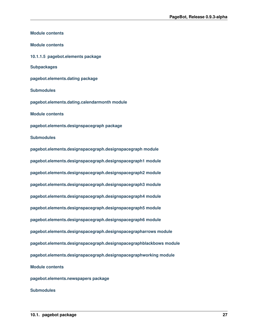<span id="page-30-0"></span>**Module contents Module contents 10.1.1.5 pagebot.elements package Subpackages pagebot.elements.dating package Submodules pagebot.elements.dating.calendarmonth module Module contents pagebot.elements.designspacegraph package Submodules pagebot.elements.designspacegraph.designspacegraph module pagebot.elements.designspacegraph.designspacegraph1 module pagebot.elements.designspacegraph.designspacegraph2 module pagebot.elements.designspacegraph.designspacegraph3 module pagebot.elements.designspacegraph.designspacegraph4 module pagebot.elements.designspacegraph.designspacegraph5 module pagebot.elements.designspacegraph.designspacegraph6 module pagebot.elements.designspacegraph.designspacegrapharrows module pagebot.elements.designspacegraph.designspacegraphblackbows module pagebot.elements.designspacegraph.designspacegraphworking module Module contents pagebot.elements.newspapers package Submodules**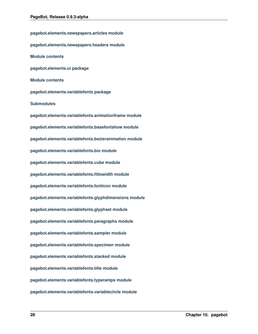**pagebot.elements.newspapers.articles module pagebot.elements.newspapers.headers module Module contents pagebot.elements.ui package Module contents pagebot.elements.variablefonts package Submodules pagebot.elements.variablefonts.animationframe module pagebot.elements.variablefonts.basefontshow module pagebot.elements.variablefonts.bezieranimation module pagebot.elements.variablefonts.bio module pagebot.elements.variablefonts.cube module pagebot.elements.variablefonts.fittowidth module pagebot.elements.variablefonts.fonticon module pagebot.elements.variablefonts.glyphdimensions module pagebot.elements.variablefonts.glyphset module pagebot.elements.variablefonts.paragraphs module pagebot.elements.variablefonts.sampler module pagebot.elements.variablefonts.specimen module pagebot.elements.variablefonts.stacked module pagebot.elements.variablefonts.title module pagebot.elements.variablefonts.typeramps module pagebot.elements.variablefonts.variablecircle module**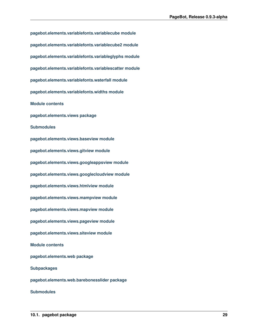**pagebot.elements.variablefonts.variablecube module pagebot.elements.variablefonts.variablecube2 module pagebot.elements.variablefonts.variableglyphs module pagebot.elements.variablefonts.variablescatter module pagebot.elements.variablefonts.waterfall module pagebot.elements.variablefonts.widths module Module contents pagebot.elements.views package Submodules pagebot.elements.views.baseview module pagebot.elements.views.gitview module pagebot.elements.views.googleappsview module pagebot.elements.views.googlecloudview module pagebot.elements.views.htmlview module pagebot.elements.views.mampview module pagebot.elements.views.mapview module pagebot.elements.views.pageview module pagebot.elements.views.siteview module Module contents pagebot.elements.web package Subpackages pagebot.elements.web.barebonesslider package Submodules**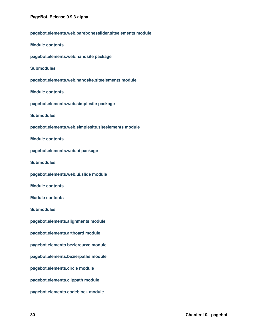| pagebot.elements.web.barebonesslider.siteelements module |
|----------------------------------------------------------|
| <b>Module contents</b>                                   |
| pagebot.elements.web.nanosite package                    |
| <b>Submodules</b>                                        |
| pagebot.elements.web.nanosite.siteelements module        |
| <b>Module contents</b>                                   |
| pagebot.elements.web.simplesite package                  |
| <b>Submodules</b>                                        |
| pagebot.elements.web.simplesite.siteelements module      |
| <b>Module contents</b>                                   |
| pagebot.elements.web.ui package                          |
| <b>Submodules</b>                                        |
| pagebot.elements.web.ui.slide module                     |
| <b>Module contents</b>                                   |
| <b>Module contents</b>                                   |
| <b>Submodules</b>                                        |
| pagebot.elements.alignments module                       |
| pagebot.elements.artboard module                         |
| pagebot.elements.beziercurve module                      |
| pagebot.elements.bezierpaths module                      |
| pagebot.elements.circle module                           |
| pagebot.elements.clippath module                         |
| pagebot.elements.codeblock module                        |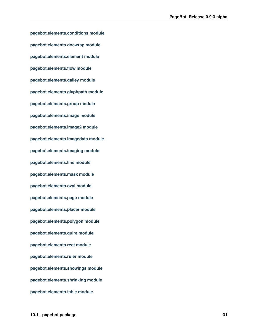**pagebot.elements.conditions module pagebot.elements.docwrap module pagebot.elements.element module pagebot.elements.flow module pagebot.elements.galley module pagebot.elements.glyphpath module pagebot.elements.group module pagebot.elements.image module pagebot.elements.image2 module pagebot.elements.imagedata module pagebot.elements.imaging module pagebot.elements.line module pagebot.elements.mask module pagebot.elements.oval module pagebot.elements.page module pagebot.elements.placer module pagebot.elements.polygon module pagebot.elements.quire module pagebot.elements.rect module pagebot.elements.ruler module pagebot.elements.showings module pagebot.elements.shrinking module pagebot.elements.table module**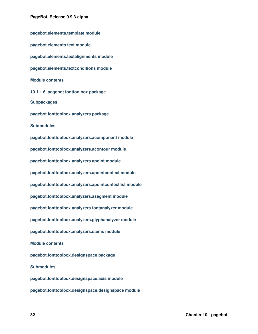<span id="page-35-0"></span>**pagebot.elements.template module pagebot.elements.text module pagebot.elements.textalignments module pagebot.elements.textconditions module Module contents 10.1.1.6 pagebot.fonttoolbox package Subpackages pagebot.fonttoolbox.analyzers package Submodules pagebot.fonttoolbox.analyzers.acomponent module pagebot.fonttoolbox.analyzers.acontour module pagebot.fonttoolbox.analyzers.apoint module pagebot.fonttoolbox.analyzers.apointcontext module pagebot.fonttoolbox.analyzers.apointcontextlist module pagebot.fonttoolbox.analyzers.asegment module pagebot.fonttoolbox.analyzers.fontanalyzer module pagebot.fonttoolbox.analyzers.glyphanalyzer module pagebot.fonttoolbox.analyzers.stems module Module contents pagebot.fonttoolbox.designspace package Submodules pagebot.fonttoolbox.designspace.axis module pagebot.fonttoolbox.designspace.designspace module**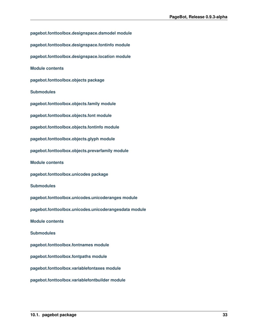**pagebot.fonttoolbox.designspace.dsmodel module pagebot.fonttoolbox.designspace.fontinfo module pagebot.fonttoolbox.designspace.location module Module contents pagebot.fonttoolbox.objects package Submodules pagebot.fonttoolbox.objects.family module pagebot.fonttoolbox.objects.font module pagebot.fonttoolbox.objects.fontinfo module pagebot.fonttoolbox.objects.glyph module pagebot.fonttoolbox.objects.prevarfamily module Module contents pagebot.fonttoolbox.unicodes package Submodules pagebot.fonttoolbox.unicodes.unicoderanges module pagebot.fonttoolbox.unicodes.unicoderangesdata module Module contents Submodules pagebot.fonttoolbox.fontnames module pagebot.fonttoolbox.fontpaths module pagebot.fonttoolbox.variablefontaxes module pagebot.fonttoolbox.variablefontbuilder module**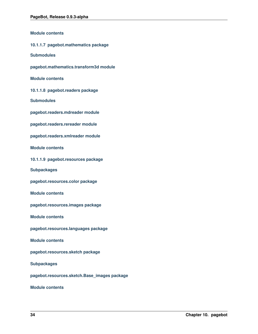<span id="page-37-1"></span><span id="page-37-0"></span>**Module contents 10.1.1.7 pagebot.mathematics package Submodules pagebot.mathematics.transform3d module Module contents 10.1.1.8 pagebot.readers package Submodules pagebot.readers.mdreader module pagebot.readers.rereader module pagebot.readers.xmlreader module Module contents 10.1.1.9 pagebot.resources package Subpackages pagebot.resources.color package Module contents pagebot.resources.images package Module contents pagebot.resources.languages package Module contents pagebot.resources.sketch package Subpackages pagebot.resources.sketch.Base\_images package**

<span id="page-37-2"></span>**Module contents**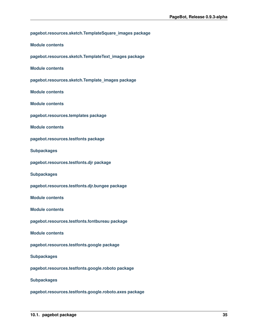```
pagebot.resources.sketch.TemplateSquare_images package
Module contents
pagebot.resources.sketch.TemplateText_images package
Module contents
pagebot.resources.sketch.Template_images package
Module contents
Module contents
pagebot.resources.templates package
Module contents
pagebot.resources.testfonts package
Subpackages
pagebot.resources.testfonts.djr package
Subpackages
pagebot.resources.testfonts.djr.bungee package
Module contents
Module contents
pagebot.resources.testfonts.fontbureau package
Module contents
pagebot.resources.testfonts.google package
Subpackages
pagebot.resources.testfonts.google.roboto package
Subpackages
```
**pagebot.resources.testfonts.google.roboto.axes package**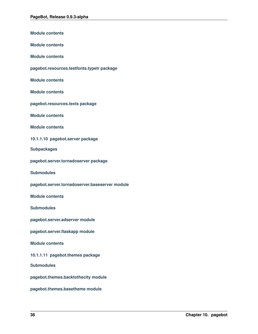<span id="page-39-1"></span><span id="page-39-0"></span>

| <b>Module contents</b>                         |
|------------------------------------------------|
| <b>Module contents</b>                         |
| <b>Module contents</b>                         |
| pagebot.resources.testfonts.typetr package     |
| <b>Module contents</b>                         |
| <b>Module contents</b>                         |
| pagebot.resources.texts package                |
| <b>Module contents</b>                         |
| <b>Module contents</b>                         |
| 10.1.1.10 pagebot.server package               |
| <b>Subpackages</b>                             |
| pagebot.server.tornadoserver package           |
| <b>Submodules</b>                              |
| pagebot.server.tornadoserver.baseserver module |
| <b>Module contents</b>                         |
| <b>Submodules</b>                              |
| pagebot.server.adserver module                 |
| pagebot.server.flaskapp module                 |
| <b>Module contents</b>                         |
| 10.1.1.11 pagebot.themes package               |
| <b>Submodules</b>                              |
| pagebot.themes.backtothecity module            |
| pagebot.themes.basetheme module                |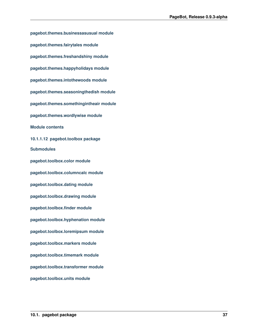<span id="page-40-0"></span>**pagebot.themes.businessasusual module pagebot.themes.fairytales module pagebot.themes.freshandshiny module pagebot.themes.happyholidays module pagebot.themes.intothewoods module pagebot.themes.seasoningthedish module pagebot.themes.somethingintheair module pagebot.themes.wordlywise module Module contents 10.1.1.12 pagebot.toolbox package Submodules pagebot.toolbox.color module pagebot.toolbox.columncalc module pagebot.toolbox.dating module pagebot.toolbox.drawing module pagebot.toolbox.finder module pagebot.toolbox.hyphenation module pagebot.toolbox.loremipsum module pagebot.toolbox.markers module pagebot.toolbox.timemark module pagebot.toolbox.transformer module pagebot.toolbox.units module**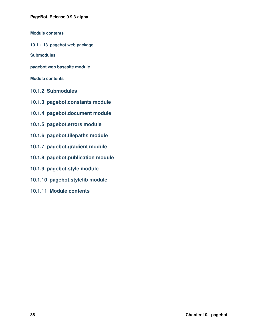**Module contents**

<span id="page-41-0"></span>**10.1.1.13 pagebot.web package**

**Submodules**

**pagebot.web.basesite module**

**Module contents**

- <span id="page-41-1"></span>**10.1.2 Submodules**
- <span id="page-41-2"></span>**10.1.3 pagebot.constants module**
- <span id="page-41-3"></span>**10.1.4 pagebot.document module**
- <span id="page-41-4"></span>**10.1.5 pagebot.errors module**
- <span id="page-41-5"></span>**10.1.6 pagebot.filepaths module**
- <span id="page-41-6"></span>**10.1.7 pagebot.gradient module**
- <span id="page-41-7"></span>**10.1.8 pagebot.publication module**
- <span id="page-41-8"></span>**10.1.9 pagebot.style module**
- <span id="page-41-9"></span>**10.1.10 pagebot.stylelib module**
- <span id="page-41-10"></span>**10.1.11 Module contents**